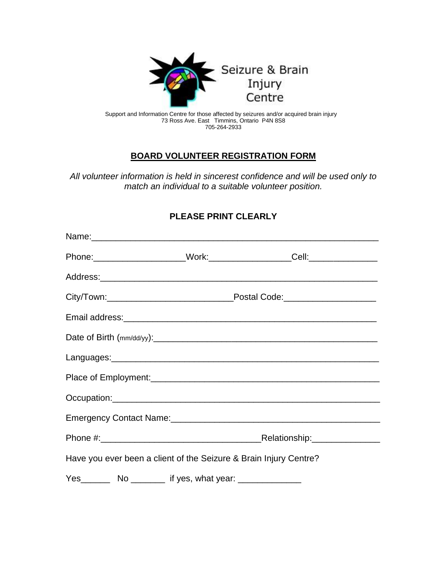

 Support and Information Centre for those affected by seizures and/or acquired brain injury 73 Ross Ave. East Timmins, Ontario P4N 8S8 705-264-2933

## **BOARD VOLUNTEER REGISTRATION FORM**

*All volunteer information is held in sincerest confidence and will be used only to match an individual to a suitable volunteer position.*

## **PLEASE PRINT CLEARLY**

|                                                                   |  |  | Emergency Contact Name: Camerage Control of the Control of the Control of the Control of the Control of the Co |  |
|-------------------------------------------------------------------|--|--|----------------------------------------------------------------------------------------------------------------|--|
|                                                                   |  |  |                                                                                                                |  |
| Have you ever been a client of the Seizure & Brain Injury Centre? |  |  |                                                                                                                |  |
|                                                                   |  |  |                                                                                                                |  |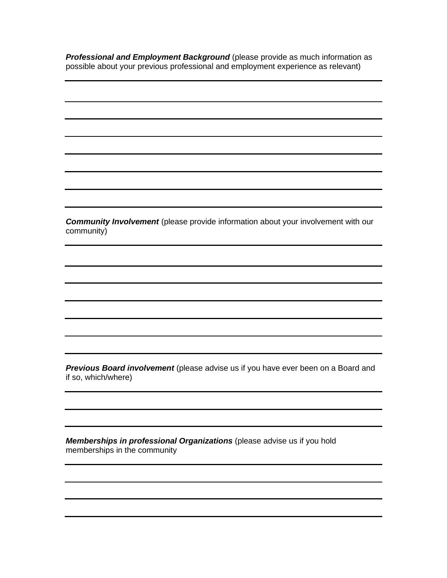*Professional and Employment Background* (please provide as much information as possible about your previous professional and employment experience as relevant)

*Community Involvement* (please provide information about your involvement with our community)

*Previous Board involvement* (please advise us if you have ever been on a Board and if so, which/where)

*Memberships in professional Organizations* (please advise us if you hold memberships in the community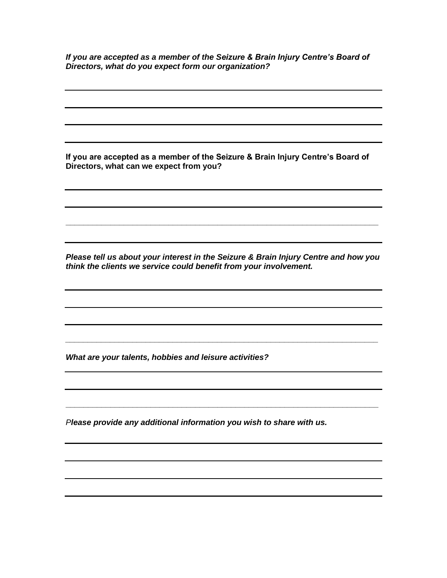*If you are accepted as a member of the Seizure & Brain Injury Centre's Board of Directors, what do you expect form our organization?*

**If you are accepted as a member of the Seizure & Brain Injury Centre's Board of Directors, what can we expect from you?**

*Please tell us about your interest in the Seizure & Brain Injury Centre and how you think the clients we service could benefit from your involvement.*

*\_\_\_\_\_\_\_\_\_\_\_\_\_\_\_\_\_\_\_\_\_\_\_\_\_\_\_\_\_\_\_\_\_\_\_\_\_\_\_\_\_\_\_\_\_\_\_\_\_\_\_\_\_\_\_\_\_\_\_\_\_\_\_\_\_\_\_\_\_\_*

**\_\_\_\_\_\_\_\_\_\_\_\_\_\_\_\_\_\_\_\_\_\_\_\_\_\_\_\_\_\_\_\_\_\_\_\_\_\_\_\_\_\_\_\_\_\_\_\_\_\_\_\_\_\_\_\_\_\_\_\_\_\_\_\_\_\_\_\_\_\_**

**\_\_\_\_\_\_\_\_\_\_\_\_\_\_\_\_\_\_\_\_\_\_\_\_\_\_\_\_\_\_\_\_\_\_\_\_\_\_\_\_\_\_\_\_\_\_\_\_\_\_\_\_\_\_\_\_\_\_\_\_\_\_\_\_\_\_\_\_\_\_**

*What are your talents, hobbies and leisure activities?*

*Please provide any additional information you wish to share with us.*